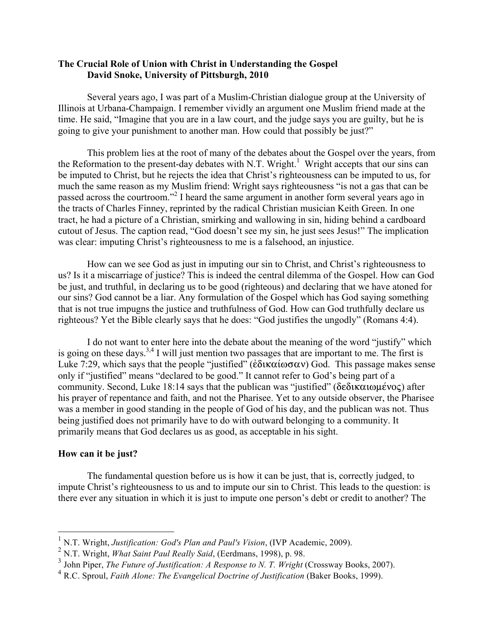# **The Crucial Role of Union with Christ in Understanding the Gospel David Snoke, University of Pittsburgh, 2010**

Several years ago, I was part of a Muslim-Christian dialogue group at the University of Illinois at Urbana-Champaign. I remember vividly an argument one Muslim friend made at the time. He said, "Imagine that you are in a law court, and the judge says you are guilty, but he is going to give your punishment to another man. How could that possibly be just?"

This problem lies at the root of many of the debates about the Gospel over the years, from the Reformation to the present-day debates with N.T. Wright.<sup>1</sup> Wright accepts that our sins can be imputed to Christ, but he rejects the idea that Christ's righteousness can be imputed to us, for much the same reason as my Muslim friend: Wright says righteousness "is not a gas that can be passed across the courtroom."<sup>2</sup> I heard the same argument in another form several years ago in the tracts of Charles Finney, reprinted by the radical Christian musician Keith Green. In one tract, he had a picture of a Christian, smirking and wallowing in sin, hiding behind a cardboard cutout of Jesus. The caption read, "God doesn't see my sin, he just sees Jesus!" The implication was clear: imputing Christ's righteousness to me is a falsehood, an injustice.

How can we see God as just in imputing our sin to Christ, and Christ's righteousness to us? Is it a miscarriage of justice? This is indeed the central dilemma of the Gospel. How can God be just, and truthful, in declaring us to be good (righteous) and declaring that we have atoned for our sins? God cannot be a liar. Any formulation of the Gospel which has God saying something that is not true impugns the justice and truthfulness of God. How can God truthfully declare us righteous? Yet the Bible clearly says that he does: "God justifies the ungodly" (Romans 4:4).

I do not want to enter here into the debate about the meaning of the word "justify" which is going on these days.<sup>3,4</sup> I will just mention two passages that are important to me. The first is Luke 7:29, which says that the people "justified" ( $\epsilon \delta \iota \kappa \alpha \iota \omega \sigma \alpha \nu$ ) God. This passage makes sense only if "justified" means "declared to be good." It cannot refer to God's being part of a community. Second, Luke 18:14 says that the publican was "justified" ( $\delta \epsilon \delta \iota \kappa \alpha \iota \omega \mu \epsilon \nu o \zeta$ ) after his prayer of repentance and faith, and not the Pharisee. Yet to any outside observer, the Pharisee was a member in good standing in the people of God of his day, and the publican was not. Thus being justified does not primarily have to do with outward belonging to a community. It primarily means that God declares us as good, as acceptable in his sight.

## **How can it be just?**

The fundamental question before us is how it can be just, that is, correctly judged, to impute Christ's righteousness to us and to impute our sin to Christ. This leads to the question: is there ever any situation in which it is just to impute one person's debt or credit to another? The

<sup>&</sup>lt;sup>1</sup> N.T. Wright, *Justification: God's Plan and Paul's Vision*, (IVP Academic, 2009).<br><sup>2</sup> N.T. Wright, *What Saint Paul Really Said*, (Eerdmans, 1998), p. 98.

<sup>&</sup>lt;sup>3</sup> John Piper, *The Future of Justification: A Response to N. T. Wright* (Crossway Books, 2007).

<sup>4</sup> R.C. Sproul, *Faith Alone: The Evangelical Doctrine of Justification* (Baker Books, 1999).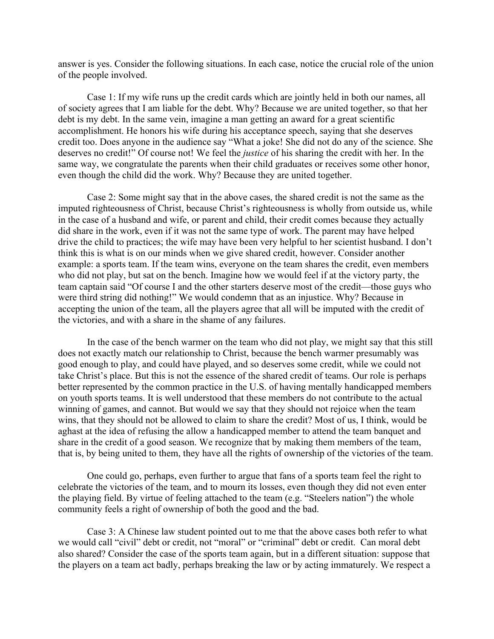answer is yes. Consider the following situations. In each case, notice the crucial role of the union of the people involved.

Case 1: If my wife runs up the credit cards which are jointly held in both our names, all of society agrees that I am liable for the debt. Why? Because we are united together, so that her debt is my debt. In the same vein, imagine a man getting an award for a great scientific accomplishment. He honors his wife during his acceptance speech, saying that she deserves credit too. Does anyone in the audience say "What a joke! She did not do any of the science. She deserves no credit!" Of course not! We feel the *justice* of his sharing the credit with her. In the same way, we congratulate the parents when their child graduates or receives some other honor, even though the child did the work. Why? Because they are united together.

Case 2: Some might say that in the above cases, the shared credit is not the same as the imputed righteousness of Christ, because Christ's righteousness is wholly from outside us, while in the case of a husband and wife, or parent and child, their credit comes because they actually did share in the work, even if it was not the same type of work. The parent may have helped drive the child to practices; the wife may have been very helpful to her scientist husband. I don't think this is what is on our minds when we give shared credit, however. Consider another example: a sports team. If the team wins, everyone on the team shares the credit, even members who did not play, but sat on the bench. Imagine how we would feel if at the victory party, the team captain said "Of course I and the other starters deserve most of the credit—those guys who were third string did nothing!" We would condemn that as an injustice. Why? Because in accepting the union of the team, all the players agree that all will be imputed with the credit of the victories, and with a share in the shame of any failures.

In the case of the bench warmer on the team who did not play, we might say that this still does not exactly match our relationship to Christ, because the bench warmer presumably was good enough to play, and could have played, and so deserves some credit, while we could not take Christ's place. But this is not the essence of the shared credit of teams. Our role is perhaps better represented by the common practice in the U.S. of having mentally handicapped members on youth sports teams. It is well understood that these members do not contribute to the actual winning of games, and cannot. But would we say that they should not rejoice when the team wins, that they should not be allowed to claim to share the credit? Most of us, I think, would be aghast at the idea of refusing the allow a handicapped member to attend the team banquet and share in the credit of a good season. We recognize that by making them members of the team, that is, by being united to them, they have all the rights of ownership of the victories of the team.

One could go, perhaps, even further to argue that fans of a sports team feel the right to celebrate the victories of the team, and to mourn its losses, even though they did not even enter the playing field. By virtue of feeling attached to the team (e.g. "Steelers nation") the whole community feels a right of ownership of both the good and the bad.

Case 3: A Chinese law student pointed out to me that the above cases both refer to what we would call "civil" debt or credit, not "moral" or "criminal" debt or credit. Can moral debt also shared? Consider the case of the sports team again, but in a different situation: suppose that the players on a team act badly, perhaps breaking the law or by acting immaturely. We respect a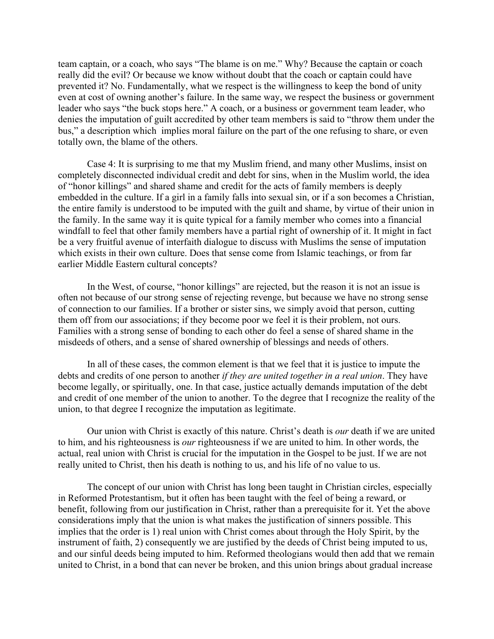team captain, or a coach, who says "The blame is on me." Why? Because the captain or coach really did the evil? Or because we know without doubt that the coach or captain could have prevented it? No. Fundamentally, what we respect is the willingness to keep the bond of unity even at cost of owning another's failure. In the same way, we respect the business or government leader who says "the buck stops here." A coach, or a business or government team leader, who denies the imputation of guilt accredited by other team members is said to "throw them under the bus," a description which implies moral failure on the part of the one refusing to share, or even totally own, the blame of the others.

Case 4: It is surprising to me that my Muslim friend, and many other Muslims, insist on completely disconnected individual credit and debt for sins, when in the Muslim world, the idea of "honor killings" and shared shame and credit for the acts of family members is deeply embedded in the culture. If a girl in a family falls into sexual sin, or if a son becomes a Christian, the entire family is understood to be imputed with the guilt and shame, by virtue of their union in the family. In the same way it is quite typical for a family member who comes into a financial windfall to feel that other family members have a partial right of ownership of it. It might in fact be a very fruitful avenue of interfaith dialogue to discuss with Muslims the sense of imputation which exists in their own culture. Does that sense come from Islamic teachings, or from far earlier Middle Eastern cultural concepts?

In the West, of course, "honor killings" are rejected, but the reason it is not an issue is often not because of our strong sense of rejecting revenge, but because we have no strong sense of connection to our families. If a brother or sister sins, we simply avoid that person, cutting them off from our associations; if they become poor we feel it is their problem, not ours. Families with a strong sense of bonding to each other do feel a sense of shared shame in the misdeeds of others, and a sense of shared ownership of blessings and needs of others.

In all of these cases, the common element is that we feel that it is justice to impute the debts and credits of one person to another *if they are united together in a real union*. They have become legally, or spiritually, one. In that case, justice actually demands imputation of the debt and credit of one member of the union to another. To the degree that I recognize the reality of the union, to that degree I recognize the imputation as legitimate.

Our union with Christ is exactly of this nature. Christ's death is *our* death if we are united to him, and his righteousness is *our* righteousness if we are united to him. In other words, the actual, real union with Christ is crucial for the imputation in the Gospel to be just. If we are not really united to Christ, then his death is nothing to us, and his life of no value to us.

The concept of our union with Christ has long been taught in Christian circles, especially in Reformed Protestantism, but it often has been taught with the feel of being a reward, or benefit, following from our justification in Christ, rather than a prerequisite for it. Yet the above considerations imply that the union is what makes the justification of sinners possible. This implies that the order is 1) real union with Christ comes about through the Holy Spirit, by the instrument of faith, 2) consequently we are justified by the deeds of Christ being imputed to us, and our sinful deeds being imputed to him. Reformed theologians would then add that we remain united to Christ, in a bond that can never be broken, and this union brings about gradual increase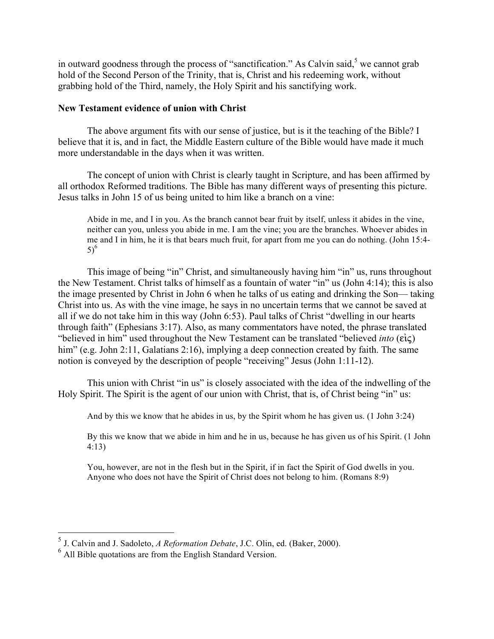in outward goodness through the process of "sanctification." As Calvin said, $<sup>5</sup>$  we cannot grab</sup> hold of the Second Person of the Trinity, that is, Christ and his redeeming work, without grabbing hold of the Third, namely, the Holy Spirit and his sanctifying work.

## **New Testament evidence of union with Christ**

The above argument fits with our sense of justice, but is it the teaching of the Bible? I believe that it is, and in fact, the Middle Eastern culture of the Bible would have made it much more understandable in the days when it was written.

The concept of union with Christ is clearly taught in Scripture, and has been affirmed by all orthodox Reformed traditions. The Bible has many different ways of presenting this picture. Jesus talks in John 15 of us being united to him like a branch on a vine:

Abide in me, and I in you. As the branch cannot bear fruit by itself, unless it abides in the vine, neither can you, unless you abide in me. I am the vine; you are the branches. Whoever abides in me and I in him, he it is that bears much fruit, for apart from me you can do nothing. (John 15:4- 5) $^{6}$ 

This image of being "in" Christ, and simultaneously having him "in" us, runs throughout the New Testament. Christ talks of himself as a fountain of water "in" us (John 4:14); this is also the image presented by Christ in John 6 when he talks of us eating and drinking the Son— taking Christ into us. As with the vine image, he says in no uncertain terms that we cannot be saved at all if we do not take him in this way (John 6:53). Paul talks of Christ "dwelling in our hearts through faith" (Ephesians 3:17). Also, as many commentators have noted, the phrase translated "believed in him" used throughout the New Testament can be translated "believed *into* ( $\epsilon i \zeta$ ) him" (e.g. John 2:11, Galatians 2:16), implying a deep connection created by faith. The same notion is conveyed by the description of people "receiving" Jesus (John 1:11-12).

This union with Christ "in us" is closely associated with the idea of the indwelling of the Holy Spirit. The Spirit is the agent of our union with Christ, that is, of Christ being "in" us:

And by this we know that he abides in us, by the Spirit whom he has given us. (1 John 3:24)

By this we know that we abide in him and he in us, because he has given us of his Spirit. (1 John 4:13)

You, however, are not in the flesh but in the Spirit, if in fact the Spirit of God dwells in you. Anyone who does not have the Spirit of Christ does not belong to him. (Romans 8:9)

 <sup>5</sup> J. Calvin and J. Sadoleto, *A Reformation Debate*, J.C. Olin, ed. (Baker, 2000).

<sup>6</sup> All Bible quotations are from the English Standard Version.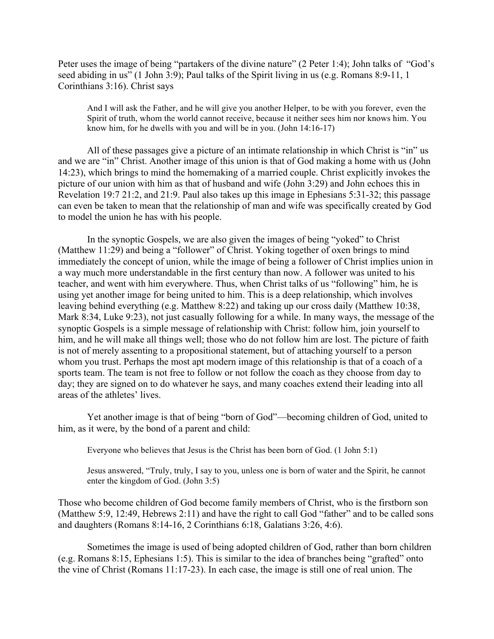Peter uses the image of being "partakers of the divine nature" (2 Peter 1:4); John talks of "God's seed abiding in us" (1 John 3:9); Paul talks of the Spirit living in us (e.g. Romans 8:9-11, 1 Corinthians 3:16). Christ says

And I will ask the Father, and he will give you another Helper, to be with you forever, even the Spirit of truth, whom the world cannot receive, because it neither sees him nor knows him. You know him, for he dwells with you and will be in you. (John 14:16-17)

All of these passages give a picture of an intimate relationship in which Christ is "in" us and we are "in" Christ. Another image of this union is that of God making a home with us (John 14:23), which brings to mind the homemaking of a married couple. Christ explicitly invokes the picture of our union with him as that of husband and wife (John 3:29) and John echoes this in Revelation 19:7 21:2, and 21:9. Paul also takes up this image in Ephesians 5:31-32; this passage can even be taken to mean that the relationship of man and wife was specifically created by God to model the union he has with his people.

In the synoptic Gospels, we are also given the images of being "yoked" to Christ (Matthew 11:29) and being a "follower" of Christ. Yoking together of oxen brings to mind immediately the concept of union, while the image of being a follower of Christ implies union in a way much more understandable in the first century than now. A follower was united to his teacher, and went with him everywhere. Thus, when Christ talks of us "following" him, he is using yet another image for being united to him. This is a deep relationship, which involves leaving behind everything (e.g. Matthew 8:22) and taking up our cross daily (Matthew 10:38, Mark 8:34, Luke 9:23), not just casually following for a while. In many ways, the message of the synoptic Gospels is a simple message of relationship with Christ: follow him, join yourself to him, and he will make all things well; those who do not follow him are lost. The picture of faith is not of merely assenting to a propositional statement, but of attaching yourself to a person whom you trust. Perhaps the most apt modern image of this relationship is that of a coach of a sports team. The team is not free to follow or not follow the coach as they choose from day to day; they are signed on to do whatever he says, and many coaches extend their leading into all areas of the athletes' lives.

Yet another image is that of being "born of God"—becoming children of God, united to him, as it were, by the bond of a parent and child:

Everyone who believes that Jesus is the Christ has been born of God. (1 John 5:1)

Jesus answered, "Truly, truly, I say to you, unless one is born of water and the Spirit, he cannot enter the kingdom of God. (John 3:5)

Those who become children of God become family members of Christ, who is the firstborn son (Matthew 5:9, 12:49, Hebrews 2:11) and have the right to call God "father" and to be called sons and daughters (Romans 8:14-16, 2 Corinthians 6:18, Galatians 3:26, 4:6).

Sometimes the image is used of being adopted children of God, rather than born children (e.g. Romans 8:15, Ephesians 1:5). This is similar to the idea of branches being "grafted" onto the vine of Christ (Romans 11:17-23). In each case, the image is still one of real union. The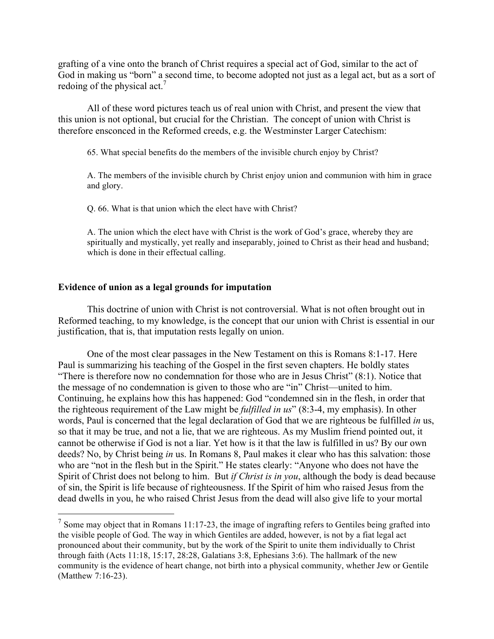grafting of a vine onto the branch of Christ requires a special act of God, similar to the act of God in making us "born" a second time, to become adopted not just as a legal act, but as a sort of redoing of the physical act.<sup>7</sup>

All of these word pictures teach us of real union with Christ, and present the view that this union is not optional, but crucial for the Christian. The concept of union with Christ is therefore ensconced in the Reformed creeds, e.g. the Westminster Larger Catechism:

65. What special benefits do the members of the invisible church enjoy by Christ?

A. The members of the invisible church by Christ enjoy union and communion with him in grace and glory.

Q. 66. What is that union which the elect have with Christ?

A. The union which the elect have with Christ is the work of God's grace, whereby they are spiritually and mystically, yet really and inseparably, joined to Christ as their head and husband; which is done in their effectual calling.

### **Evidence of union as a legal grounds for imputation**

This doctrine of union with Christ is not controversial. What is not often brought out in Reformed teaching, to my knowledge, is the concept that our union with Christ is essential in our justification, that is, that imputation rests legally on union.

One of the most clear passages in the New Testament on this is Romans 8:1-17. Here Paul is summarizing his teaching of the Gospel in the first seven chapters. He boldly states "There is therefore now no condemnation for those who are in Jesus Christ" (8:1). Notice that the message of no condemnation is given to those who are "in" Christ—united to him. Continuing, he explains how this has happened: God "condemned sin in the flesh, in order that the righteous requirement of the Law might be *fulfilled in us*" (8:3-4, my emphasis). In other words, Paul is concerned that the legal declaration of God that we are righteous be fulfilled *in* us, so that it may be true, and not a lie, that we are righteous. As my Muslim friend pointed out, it cannot be otherwise if God is not a liar. Yet how is it that the law is fulfilled in us? By our own deeds? No, by Christ being *in* us. In Romans 8, Paul makes it clear who has this salvation: those who are "not in the flesh but in the Spirit." He states clearly: "Anyone who does not have the Spirit of Christ does not belong to him. But *if Christ is in you*, although the body is dead because of sin, the Spirit is life because of righteousness. If the Spirit of him who raised Jesus from the dead dwells in you, he who raised Christ Jesus from the dead will also give life to your mortal

 $<sup>7</sup>$  Some may object that in Romans 11:17-23, the image of ingrafting refers to Gentiles being grafted into</sup> the visible people of God. The way in which Gentiles are added, however, is not by a fiat legal act pronounced about their community, but by the work of the Spirit to unite them individually to Christ through faith (Acts 11:18, 15:17, 28:28, Galatians 3:8, Ephesians 3:6). The hallmark of the new community is the evidence of heart change, not birth into a physical community, whether Jew or Gentile (Matthew 7:16-23).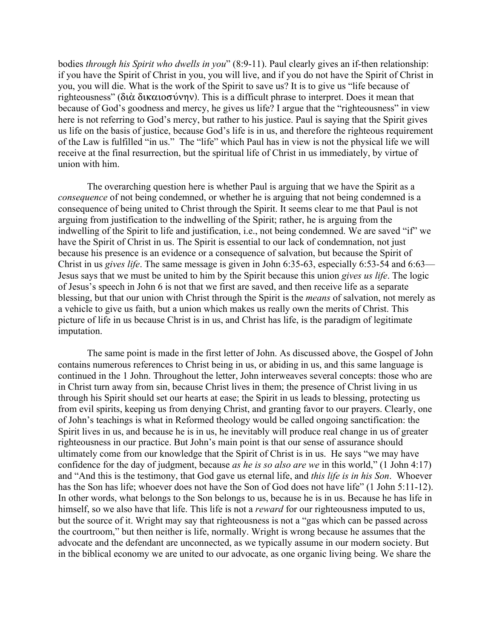bodies *through his Spirit who dwells in you*" (8:9-11). Paul clearly gives an if-then relationship: if you have the Spirit of Christ in you, you will live, and if you do not have the Spirit of Christ in you, you will die. What is the work of the Spirit to save us? It is to give us "life because of righteousness" ( $\delta t \alpha \delta t \kappa \alpha t$   $\sigma \delta v \eta v$ ). This is a difficult phrase to interpret. Does it mean that because of God's goodness and mercy, he gives us life? I argue that the "righteousness" in view here is not referring to God's mercy, but rather to his justice. Paul is saying that the Spirit gives us life on the basis of justice, because God's life is in us, and therefore the righteous requirement of the Law is fulfilled "in us." The "life" which Paul has in view is not the physical life we will receive at the final resurrection, but the spiritual life of Christ in us immediately, by virtue of union with him.

The overarching question here is whether Paul is arguing that we have the Spirit as a *consequence* of not being condemned, or whether he is arguing that not being condemned is a consequence of being united to Christ through the Spirit. It seems clear to me that Paul is not arguing from justification to the indwelling of the Spirit; rather, he is arguing from the indwelling of the Spirit to life and justification, i.e., not being condemned. We are saved "if" we have the Spirit of Christ in us. The Spirit is essential to our lack of condemnation, not just because his presence is an evidence or a consequence of salvation, but because the Spirit of Christ in us *gives life*. The same message is given in John 6:35-63, especially 6:53-54 and 6:63— Jesus says that we must be united to him by the Spirit because this union *gives us life*. The logic of Jesus's speech in John 6 is not that we first are saved, and then receive life as a separate blessing, but that our union with Christ through the Spirit is the *means* of salvation, not merely as a vehicle to give us faith, but a union which makes us really own the merits of Christ. This picture of life in us because Christ is in us, and Christ has life, is the paradigm of legitimate imputation.

The same point is made in the first letter of John. As discussed above, the Gospel of John contains numerous references to Christ being in us, or abiding in us, and this same language is continued in the 1 John. Throughout the letter, John interweaves several concepts: those who are in Christ turn away from sin, because Christ lives in them; the presence of Christ living in us through his Spirit should set our hearts at ease; the Spirit in us leads to blessing, protecting us from evil spirits, keeping us from denying Christ, and granting favor to our prayers. Clearly, one of John's teachings is what in Reformed theology would be called ongoing sanctification: the Spirit lives in us, and because he is in us, he inevitably will produce real change in us of greater righteousness in our practice. But John's main point is that our sense of assurance should ultimately come from our knowledge that the Spirit of Christ is in us. He says "we may have confidence for the day of judgment, because *as he is so also are we* in this world," (1 John 4:17) and "And this is the testimony, that God gave us eternal life, and *this life is in his Son*. Whoever has the Son has life; whoever does not have the Son of God does not have life" (1 John 5:11-12). In other words, what belongs to the Son belongs to us, because he is in us. Because he has life in himself, so we also have that life. This life is not a *reward* for our righteousness imputed to us, but the source of it. Wright may say that righteousness is not a "gas which can be passed across the courtroom," but then neither is life, normally. Wright is wrong because he assumes that the advocate and the defendant are unconnected, as we typically assume in our modern society. But in the biblical economy we are united to our advocate, as one organic living being. We share the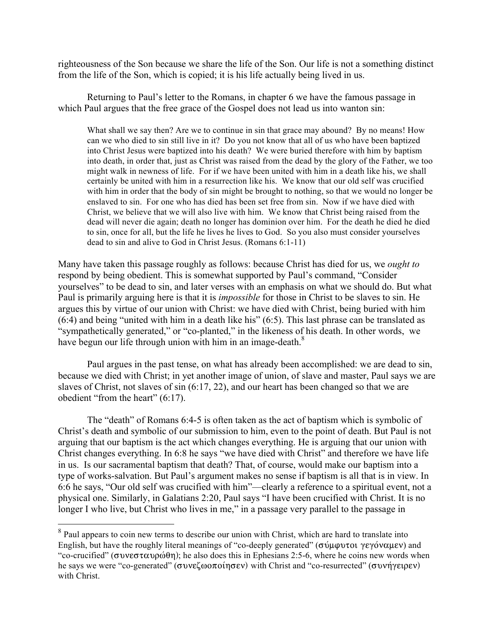righteousness of the Son because we share the life of the Son. Our life is not a something distinct from the life of the Son, which is copied; it is his life actually being lived in us.

Returning to Paul's letter to the Romans, in chapter 6 we have the famous passage in which Paul argues that the free grace of the Gospel does not lead us into wanton sin:

What shall we say then? Are we to continue in sin that grace may abound? By no means! How can we who died to sin still live in it? Do you not know that all of us who have been baptized into Christ Jesus were baptized into his death? We were buried therefore with him by baptism into death, in order that, just as Christ was raised from the dead by the glory of the Father, we too might walk in newness of life. For if we have been united with him in a death like his, we shall certainly be united with him in a resurrection like his. We know that our old self was crucified with him in order that the body of sin might be brought to nothing, so that we would no longer be enslaved to sin. For one who has died has been set free from sin. Now if we have died with Christ, we believe that we will also live with him. We know that Christ being raised from the dead will never die again; death no longer has dominion over him. For the death he died he died to sin, once for all, but the life he lives he lives to God. So you also must consider yourselves dead to sin and alive to God in Christ Jesus. (Romans 6:1-11)

Many have taken this passage roughly as follows: because Christ has died for us, we *ought to* respond by being obedient. This is somewhat supported by Paul's command, "Consider yourselves" to be dead to sin, and later verses with an emphasis on what we should do. But what Paul is primarily arguing here is that it is *impossible* for those in Christ to be slaves to sin. He argues this by virtue of our union with Christ: we have died with Christ, being buried with him (6:4) and being "united with him in a death like his" (6:5). This last phrase can be translated as "sympathetically generated," or "co-planted," in the likeness of his death. In other words, we have begun our life through union with him in an image-death. $8$ 

Paul argues in the past tense, on what has already been accomplished: we are dead to sin, because we died with Christ; in yet another image of union, of slave and master, Paul says we are slaves of Christ, not slaves of sin (6:17, 22), and our heart has been changed so that we are obedient "from the heart" (6:17).

The "death" of Romans 6:4-5 is often taken as the act of baptism which is symbolic of Christ's death and symbolic of our submission to him, even to the point of death. But Paul is not arguing that our baptism is the act which changes everything. He is arguing that our union with Christ changes everything. In 6:8 he says "we have died with Christ" and therefore we have life in us. Is our sacramental baptism that death? That, of course, would make our baptism into a type of works-salvation. But Paul's argument makes no sense if baptism is all that is in view. In 6:6 he says, "Our old self was crucified with him"—clearly a reference to a spiritual event, not a physical one. Similarly, in Galatians 2:20, Paul says "I have been crucified with Christ. It is no longer I who live, but Christ who lives in me," in a passage very parallel to the passage in

<sup>&</sup>lt;sup>8</sup> Paul appears to coin new terms to describe our union with Christ, which are hard to translate into English, but have the roughly literal meanings of "co-deeply generated" ( $\sigma \psi \psi$  $\psi$  $\chi$ "co-crucified" ( $\sigma$ v $\sigma \alpha \nu \rho \omega \theta \eta$ ); he also does this in Ephesians 2:5-6, where he coins new words when he says we were "co-generated" ( $\sigma$ vveζωοποίησεν) with Christ and "co-resurrected" (συνήγειρεν) with Christ.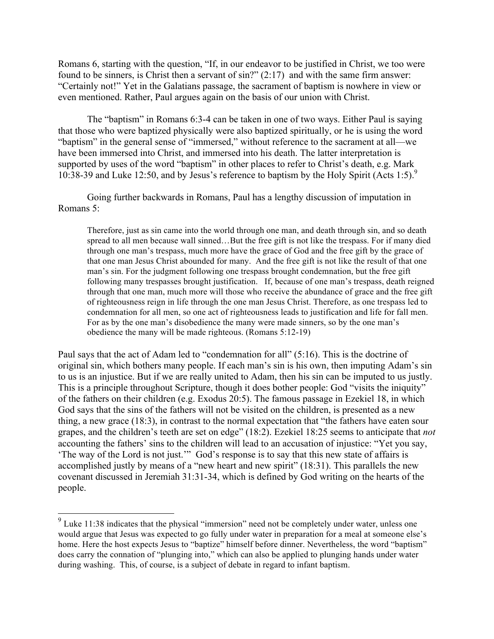Romans 6, starting with the question, "If, in our endeavor to be justified in Christ, we too were found to be sinners, is Christ then a servant of sin?" (2:17) and with the same firm answer: "Certainly not!" Yet in the Galatians passage, the sacrament of baptism is nowhere in view or even mentioned. Rather, Paul argues again on the basis of our union with Christ.

The "baptism" in Romans 6:3-4 can be taken in one of two ways. Either Paul is saying that those who were baptized physically were also baptized spiritually, or he is using the word "baptism" in the general sense of "immersed," without reference to the sacrament at all—we have been immersed into Christ, and immersed into his death. The latter interpretation is supported by uses of the word "baptism" in other places to refer to Christ's death, e.g. Mark 10:38-39 and Luke 12:50, and by Jesus's reference to baptism by the Holy Spirit (Acts 1:5).<sup>9</sup>

Going further backwards in Romans, Paul has a lengthy discussion of imputation in Romans 5:

Therefore, just as sin came into the world through one man, and death through sin, and so death spread to all men because wall sinned...But the free gift is not like the trespass. For if many died through one man's trespass, much more have the grace of God and the free gift by the grace of that one man Jesus Christ abounded for many. And the free gift is not like the result of that one man's sin. For the judgment following one trespass brought condemnation, but the free gift following many trespasses brought justification. If, because of one man's trespass, death reigned through that one man, much more will those who receive the abundance of grace and the free gift of righteousness reign in life through the one man Jesus Christ. Therefore, as one trespass led to condemnation for all men, so one act of righteousness leads to justification and life for fall men. For as by the one man's disobedience the many were made sinners, so by the one man's obedience the many will be made righteous. (Romans 5:12-19)

Paul says that the act of Adam led to "condemnation for all" (5:16). This is the doctrine of original sin, which bothers many people. If each man's sin is his own, then imputing Adam's sin to us is an injustice. But if we are really united to Adam, then his sin can be imputed to us justly. This is a principle throughout Scripture, though it does bother people: God "visits the iniquity" of the fathers on their children (e.g. Exodus 20:5). The famous passage in Ezekiel 18, in which God says that the sins of the fathers will not be visited on the children, is presented as a new thing, a new grace (18:3), in contrast to the normal expectation that "the fathers have eaten sour grapes, and the children's teeth are set on edge" (18:2). Ezekiel 18:25 seems to anticipate that *not*  accounting the fathers' sins to the children will lead to an accusation of injustice: "Yet you say, 'The way of the Lord is not just.'" God's response is to say that this new state of affairs is accomplished justly by means of a "new heart and new spirit" (18:31). This parallels the new covenant discussed in Jeremiah 31:31-34, which is defined by God writing on the hearts of the people.

 $\frac{9}{9}$  Luke 11:38 indicates that the physical "immersion" need not be completely under water, unless one would argue that Jesus was expected to go fully under water in preparation for a meal at someone else's home. Here the host expects Jesus to "baptize" himself before dinner. Nevertheless, the word "baptism" does carry the connation of "plunging into," which can also be applied to plunging hands under water during washing. This, of course, is a subject of debate in regard to infant baptism.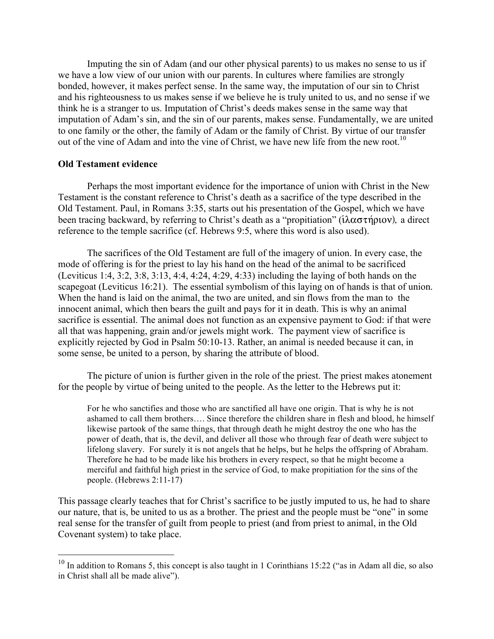Imputing the sin of Adam (and our other physical parents) to us makes no sense to us if we have a low view of our union with our parents. In cultures where families are strongly bonded, however, it makes perfect sense. In the same way, the imputation of our sin to Christ and his righteousness to us makes sense if we believe he is truly united to us, and no sense if we think he is a stranger to us. Imputation of Christ's deeds makes sense in the same way that imputation of Adam's sin, and the sin of our parents, makes sense. Fundamentally, we are united to one family or the other, the family of Adam or the family of Christ. By virtue of our transfer out of the vine of Adam and into the vine of Christ, we have new life from the new root.<sup>10</sup>

### **Old Testament evidence**

Perhaps the most important evidence for the importance of union with Christ in the New Testament is the constant reference to Christ's death as a sacrifice of the type described in the Old Testament. Paul, in Romans 3:35, starts out his presentation of the Gospel, which we have been tracing backward, by referring to Christ's death as a "propitiation" ( $\lambda \alpha \sigma \tau \eta \rho \nu$ ), a direct reference to the temple sacrifice (cf. Hebrews 9:5, where this word is also used).

The sacrifices of the Old Testament are full of the imagery of union. In every case, the mode of offering is for the priest to lay his hand on the head of the animal to be sacrificed (Leviticus 1:4, 3:2, 3:8, 3:13, 4:4, 4:24, 4:29, 4:33) including the laying of both hands on the scapegoat (Leviticus 16:21). The essential symbolism of this laying on of hands is that of union. When the hand is laid on the animal, the two are united, and sin flows from the man to the innocent animal, which then bears the guilt and pays for it in death. This is why an animal sacrifice is essential. The animal does not function as an expensive payment to God: if that were all that was happening, grain and/or jewels might work. The payment view of sacrifice is explicitly rejected by God in Psalm 50:10-13. Rather, an animal is needed because it can, in some sense, be united to a person, by sharing the attribute of blood.

The picture of union is further given in the role of the priest. The priest makes atonement for the people by virtue of being united to the people. As the letter to the Hebrews put it:

For he who sanctifies and those who are sanctified all have one origin. That is why he is not ashamed to call them brothers…. Since therefore the children share in flesh and blood, he himself likewise partook of the same things, that through death he might destroy the one who has the power of death, that is, the devil, and deliver all those who through fear of death were subject to lifelong slavery. For surely it is not angels that he helps, but he helps the offspring of Abraham. Therefore he had to be made like his brothers in every respect, so that he might become a merciful and faithful high priest in the service of God, to make propitiation for the sins of the people. (Hebrews 2:11-17)

This passage clearly teaches that for Christ's sacrifice to be justly imputed to us, he had to share our nature, that is, be united to us as a brother. The priest and the people must be "one" in some real sense for the transfer of guilt from people to priest (and from priest to animal, in the Old Covenant system) to take place.

 $10$  In addition to Romans 5, this concept is also taught in 1 Corinthians 15:22 ("as in Adam all die, so also in Christ shall all be made alive").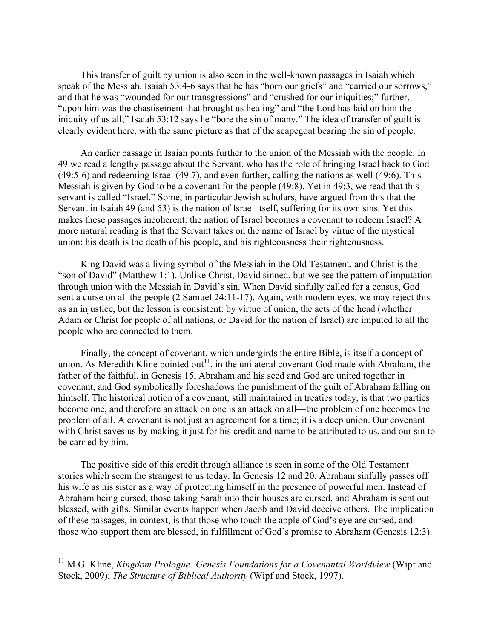This transfer of guilt by union is also seen in the well-known passages in Isaiah which speak of the Messiah. Isaiah 53:4-6 says that he has "born our griefs" and "carried our sorrows," and that he was "wounded for our transgressions" and "crushed for our iniquities;" further, "upon him was the chastisement that brought us healing" and "the Lord has laid on him the iniquity of us all;" Isaiah 53:12 says he "bore the sin of many." The idea of transfer of guilt is clearly evident here, with the same picture as that of the scapegoat bearing the sin of people.

An earlier passage in Isaiah points further to the union of the Messiah with the people. In 49 we read a lengthy passage about the Servant, who has the role of bringing Israel back to God (49:5-6) and redeeming Israel (49:7), and even further, calling the nations as well (49:6). This Messiah is given by God to be a covenant for the people (49:8). Yet in 49:3, we read that this servant is called "Israel." Some, in particular Jewish scholars, have argued from this that the Servant in Isaiah 49 (and 53) is the nation of Israel itself, suffering for its own sins. Yet this makes these passages incoherent: the nation of Israel becomes a covenant to redeem Israel? A more natural reading is that the Servant takes on the name of Israel by virtue of the mystical union: his death is the death of his people, and his righteousness their righteousness.

King David was a living symbol of the Messiah in the Old Testament, and Christ is the "son of David" (Matthew 1:1). Unlike Christ, David sinned, but we see the pattern of imputation through union with the Messiah in David's sin. When David sinfully called for a census, God sent a curse on all the people (2 Samuel 24:11-17). Again, with modern eyes, we may reject this as an injustice, but the lesson is consistent: by virtue of union, the acts of the head (whether Adam or Christ for people of all nations, or David for the nation of Israel) are imputed to all the people who are connected to them.

Finally, the concept of covenant, which undergirds the entire Bible, is itself a concept of union. As Meredith Kline pointed out<sup> $11$ </sup>, in the unilateral covenant God made with Abraham, the father of the faithful, in Genesis 15, Abraham and his seed and God are united together in covenant, and God symbolically foreshadows the punishment of the guilt of Abraham falling on himself. The historical notion of a covenant, still maintained in treaties today, is that two parties become one, and therefore an attack on one is an attack on all—the problem of one becomes the problem of all. A covenant is not just an agreement for a time; it is a deep union. Our covenant with Christ saves us by making it just for his credit and name to be attributed to us, and our sin to be carried by him.

The positive side of this credit through alliance is seen in some of the Old Testament stories which seem the strangest to us today. In Genesis 12 and 20, Abraham sinfully passes off his wife as his sister as a way of protecting himself in the presence of powerful men. Instead of Abraham being cursed, those taking Sarah into their houses are cursed, and Abraham is sent out blessed, with gifts. Similar events happen when Jacob and David deceive others. The implication of these passages, in context, is that those who touch the apple of God's eye are cursed, and those who support them are blessed, in fulfillment of God's promise to Abraham (Genesis 12:3).

<sup>&</sup>lt;sup>11</sup> M.G. Kline, *Kingdom Prologue: Genesis Foundations for a Covenantal Worldview* (Wipf and Stock, 2009); *The Structure of Biblical Authority* (Wipf and Stock, 1997).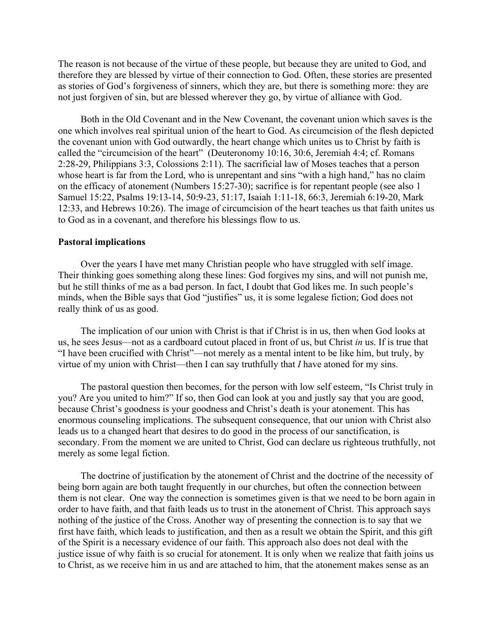The reason is not because of the virtue of these people, but because they are united to God, and therefore they are blessed by virtue of their connection to God. Often, these stories are presented as stories of God's forgiveness of sinners, which they are, but there is something more: they are not just forgiven of sin, but are blessed wherever they go, by virtue of alliance with God.

Both in the Old Covenant and in the New Covenant, the covenant union which saves is the one which involves real spiritual union of the heart to God. As circumcision of the flesh depicted the covenant union with God outwardly, the heart change which unites us to Christ by faith is called the "circumcision of the heart" (Deuteronomy 10:16, 30:6, Jeremiah 4:4; cf. Romans 2:28-29, Philippians 3:3, Colossions 2:11). The sacrificial law of Moses teaches that a person whose heart is far from the Lord, who is unrepentant and sins "with a high hand," has no claim on the efficacy of atonement (Numbers 15:27-30); sacrifice is for repentant people (see also 1 Samuel 15:22, Psalms 19:13-14, 50:9-23, 51:17, Isaiah 1:11-18, 66:3, Jeremiah 6:19-20, Mark 12:33, and Hebrews 10:26). The image of circumcision of the heart teaches us that faith unites us to God as in a covenant, and therefore his blessings flow to us.

#### **Pastoral implications**

Over the years I have met many Christian people who have struggled with self image. Their thinking goes something along these lines: God forgives my sins, and will not punish me, but he still thinks of me as a bad person. In fact, I doubt that God likes me. In such people's minds, when the Bible says that God "justifies" us, it is some legalese fiction; God does not really think of us as good.

The implication of our union with Christ is that if Christ is in us, then when God looks at us, he sees Jesus—not as a cardboard cutout placed in front of us, but Christ *in* us. If is true that "I have been crucified with Christ"—not merely as a mental intent to be like him, but truly, by virtue of my union with Christ—then I can say truthfully that *I* have atoned for my sins.

The pastoral question then becomes, for the person with low self esteem, "Is Christ truly in you? Are you united to him?" If so, then God can look at you and justly say that you are good, because Christ's goodness is your goodness and Christ's death is your atonement. This has enormous counseling implications. The subsequent consequence, that our union with Christ also leads us to a changed heart that desires to do good in the process of our sanctification, is secondary. From the moment we are united to Christ, God can declare us righteous truthfully, not merely as some legal fiction.

The doctrine of justification by the atonement of Christ and the doctrine of the necessity of being born again are both taught frequently in our churches, but often the connection between them is not clear. One way the connection is sometimes given is that we need to be born again in order to have faith, and that faith leads us to trust in the atonement of Christ. This approach says nothing of the justice of the Cross. Another way of presenting the connection is to say that we first have faith, which leads to justification, and then as a result we obtain the Spirit, and this gift of the Spirit is a necessary evidence of our faith. This approach also does not deal with the justice issue of why faith is so crucial for atonement. It is only when we realize that faith joins us to Christ, as we receive him in us and are attached to him, that the atonement makes sense as an